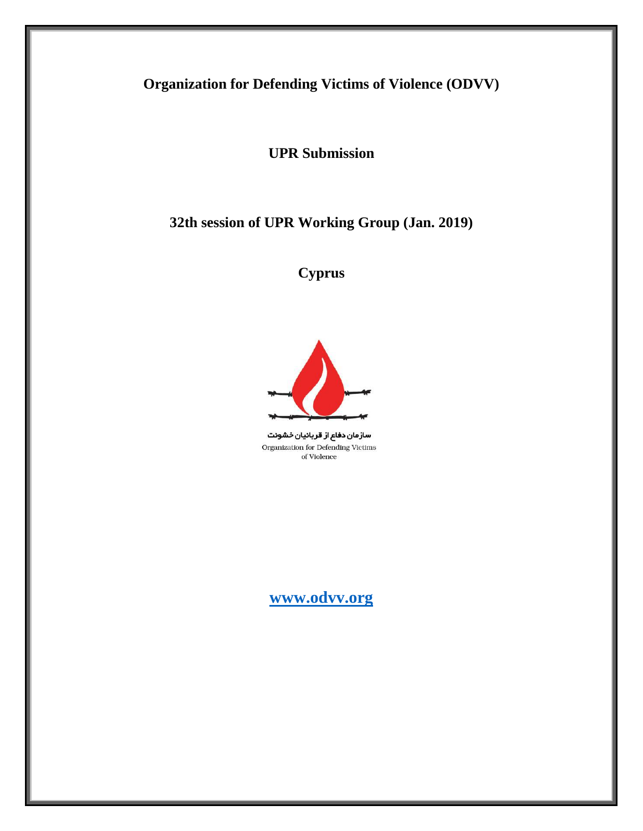# **Organization for Defending Victims of Violence (ODVV)**

**UPR Submission**

**32th session of UPR Working Group (Jan. 2019)** 

**Cyprus**



سازمان دفاع از قربانیان خشونت Organization for Defending Victims of Violence

**[www.odvv.org](http://www.odvv.org/)**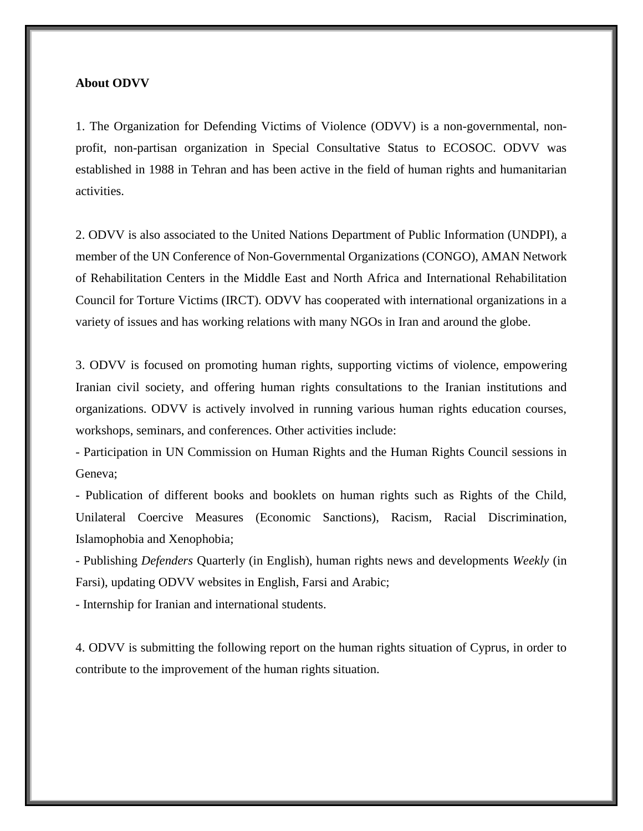### **About ODVV**

1. The Organization for Defending Victims of Violence (ODVV) is a non-governmental, nonprofit, non-partisan organization in Special Consultative Status to ECOSOC. ODVV was established in 1988 in Tehran and has been active in the field of human rights and humanitarian activities.

2. ODVV is also associated to the United Nations Department of Public Information (UNDPI), a member of the UN Conference of Non-Governmental Organizations (CONGO), AMAN Network of Rehabilitation Centers in the Middle East and North Africa and International Rehabilitation Council for Torture Victims (IRCT). ODVV has cooperated with international organizations in a variety of issues and has working relations with many NGOs in Iran and around the globe.

3. ODVV is focused on promoting human rights, supporting victims of violence, empowering Iranian civil society, and offering human rights consultations to the Iranian institutions and organizations. ODVV is actively involved in running various human rights education courses, workshops, seminars, and conferences. Other activities include:

- Participation in UN Commission on Human Rights and the Human Rights Council sessions in Geneva;

- Publication of different books and booklets on human rights such as Rights of the Child, Unilateral Coercive Measures (Economic Sanctions), Racism, Racial Discrimination, Islamophobia and Xenophobia;

- Publishing *Defenders* Quarterly (in English), human rights news and developments *Weekly* (in Farsi), updating ODVV websites in English, Farsi and Arabic;

- Internship for Iranian and international students.

4. ODVV is submitting the following report on the human rights situation of Cyprus, in order to contribute to the improvement of the human rights situation.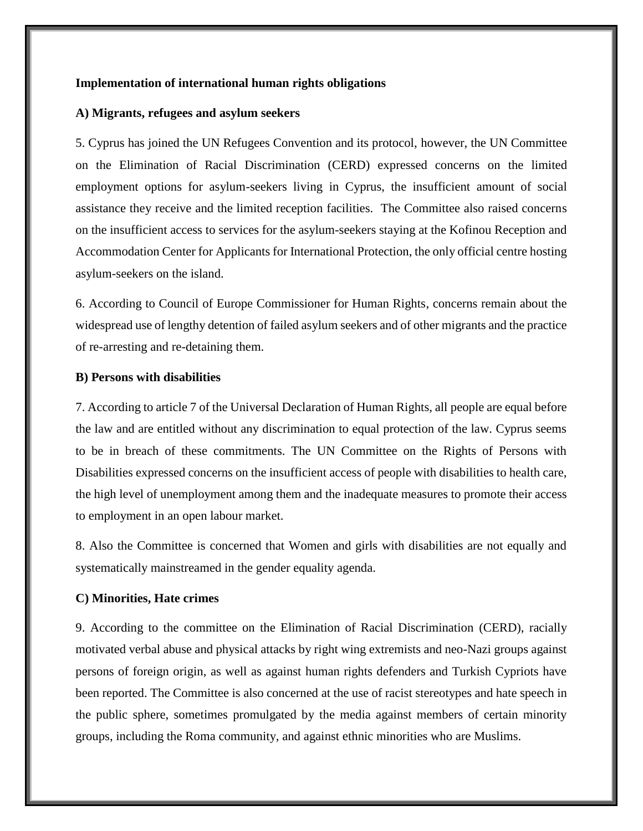## **Implementation of international human rights obligations**

#### **A) Migrants, refugees and asylum seekers**

5. Cyprus has joined the UN Refugees Convention and its protocol, however, the UN Committee on the Elimination of Racial Discrimination (CERD) expressed concerns on the limited employment options for asylum-seekers living in Cyprus, the insufficient amount of social assistance they receive and the limited reception facilities. The Committee also raised concerns on the insufficient access to services for the asylum-seekers staying at the Kofinou Reception and Accommodation Center for Applicants for International Protection, the only official centre hosting asylum-seekers on the island.

6. According to Council of Europe Commissioner for Human Rights, concerns remain about the widespread use of lengthy detention of failed asylum seekers and of other migrants and the practice of re-arresting and re-detaining them.

## **B) Persons with disabilities**

7. According to article 7 of the Universal Declaration of Human Rights, all people are equal before the law and are entitled without any discrimination to equal protection of the law. Cyprus seems to be in breach of these commitments. The UN Committee on the Rights of Persons with Disabilities expressed concerns on the insufficient access of people with disabilities to health care, the high level of unemployment among them and the inadequate measures to promote their access to employment in an open labour market.

8. Also the Committee is concerned that Women and girls with disabilities are not equally and systematically mainstreamed in the gender equality agenda.

#### **C) Minorities, Hate crimes**

9. According to the committee on the Elimination of Racial Discrimination (CERD), racially motivated verbal abuse and physical attacks by right wing extremists and neo-Nazi groups against persons of foreign origin, as well as against human rights defenders and Turkish Cypriots have been reported. The Committee is also concerned at the use of racist stereotypes and hate speech in the public sphere, sometimes promulgated by the media against members of certain minority groups, including the Roma community, and against ethnic minorities who are Muslims.